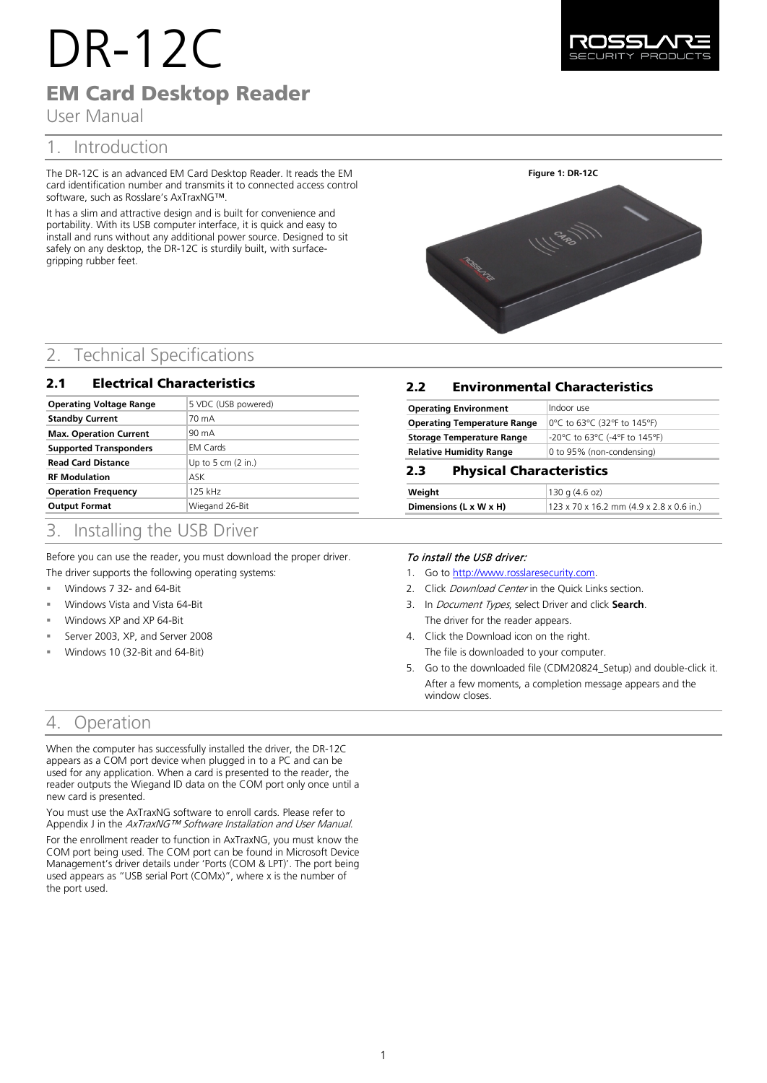# DR-12C EM Card Desktop Reader

User Manual

# 1. Introduction

The DR-12C is an advanced EM Card Desktop Reader. It reads the EM card identification number and transmits it to connected access control software, such as Rosslare's AxTraxNG™.

It has a slim and attractive design and is built for convenience and portability. With its USB computer interface, it is quick and easy to install and runs without any additional power source. Designed to sit safely on any desktop, the DR-12C is sturdily built, with surfacegripping rubber feet.

# **Figure 1: DR-12C**

# 2. Technical Specifications

#### 2.1 Electrical Characteristics

| <b>Operating Voltage Range</b> | 5 VDC (USB powered)          |
|--------------------------------|------------------------------|
| <b>Standby Current</b>         | 70 mA                        |
| <b>Max. Operation Current</b>  | 90 mA                        |
| <b>Supported Transponders</b>  | <b>EM Cards</b>              |
| <b>Read Card Distance</b>      | Up to 5 cm $(2 \text{ in.})$ |
| <b>RF Modulation</b>           | ASK                          |
| <b>Operation Frequency</b>     | 125 kHz                      |
| <b>Output Format</b>           | Wiegand 26-Bit               |

# 3. Installing the USB Driver

Before you can use the reader, you must download the proper driver. The driver supports the following operating systems:

- Windows 7 32- and 64-Bit
- Windows Vista and Vista 64-Bit
- Windows XP and XP 64-Bit
- Server 2003, XP, and Server 2008
- Windows 10 (32-Bit and 64-Bit)

# 4. Operation

When the computer has successfully installed the driver, the DR-12C appears as a COM port device when plugged in to a PC and can be used for any application. When a card is presented to the reader, the reader outputs the Wiegand ID data on the COM port only once until a new card is presented.

You must use the AxTraxNG software to enroll cards. Please refer to Appendix J in the AxTraxNG™ Software Installation and User Manual.

For the enrollment reader to function in AxTraxNG, you must know the COM port being used. The COM port can be found in Microsoft Device Management's driver details under 'Ports (COM & LPT)'. The port being used appears as "USB serial Port (COMx)", where x is the number of the port used.

#### 2.2 Environmental Characteristics

| <b>Operating Environment</b>       | Indoor use                    |
|------------------------------------|-------------------------------|
| <b>Operating Temperature Range</b> | 0°C to 63°C (32°F to 145°F)   |
| <b>Storage Temperature Range</b>   | -20°C to 63°C (-4°F to 145°F) |
| <b>Relative Humidity Range</b>     | 0 to 95% (non-condensing)     |

#### 2.3 Physical Characteristics

| Weight                 | $ 130 \text{ q } (4.6 \text{ oz}) $                  |
|------------------------|------------------------------------------------------|
| Dimensions (L x W x H) | $123 \times 70 \times 16.2$ mm (4.9 x 2.8 x 0.6 in.) |

#### To install the USB driver:

- 1. Go to [http://www.rosslaresecurity.com.](http://www.rosslaresecurity.com/)
- 2. Click Download Center in the Quick Links section.
- 3. In Document Types, select Driver and click **Search**. The driver for the reader appears.
- 4. Click the Download icon on the right. The file is downloaded to your computer.
- 5. Go to the downloaded file (CDM20824\_Setup) and double-click it. After a few moments, a completion message appears and the window closes.